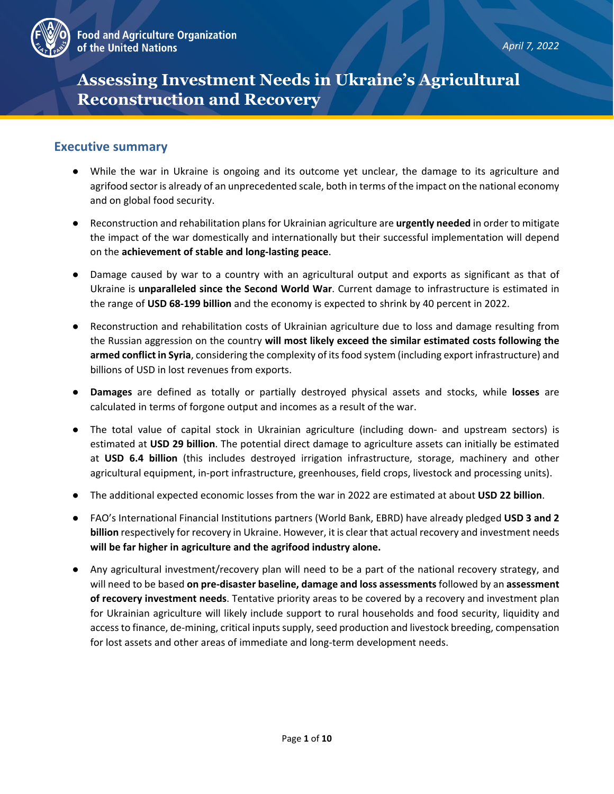

# **Assessing Investment Needs in Ukraine's Agricultural Reconstruction and Recovery**

#### **Executive summary**

- While the war in Ukraine is ongoing and its outcome yet unclear, the damage to its agriculture and agrifood sector is already of an unprecedented scale, both in terms of the impact on the national economy and on global food security.
- Reconstruction and rehabilitation plans for Ukrainian agriculture are **urgently needed** in order to mitigate the impact of the war domestically and internationally but their successful implementation will depend on the **achievement of stable and long-lasting peace**.
- Damage caused by war to a country with an agricultural output and exports as significant as that of Ukraine is **unparalleled since the Second World War**. Current damage to infrastructure is estimated in the range of **USD 68-199 billion** and the economy is expected to shrink by 40 percent in 2022.
- Reconstruction and rehabilitation costs of Ukrainian agriculture due to loss and damage resulting from the Russian aggression on the country **will most likely exceed the similar estimated costs following the armed conflict in Syria**, considering the complexity of its food system (including export infrastructure) and billions of USD in lost revenues from exports.
- **Damages** are defined as totally or partially destroyed physical assets and stocks, while **losses** are calculated in terms of forgone output and incomes as a result of the war.
- The total value of capital stock in Ukrainian agriculture (including down- and upstream sectors) is estimated at **USD 29 billion**. The potential direct damage to agriculture assets can initially be estimated at **USD 6.4 billion** (this includes destroyed irrigation infrastructure, storage, machinery and other agricultural equipment, in-port infrastructure, greenhouses, field crops, livestock and processing units).
- The additional expected economic losses from the war in 2022 are estimated at about **USD 22 billion**.
- FAO's International Financial Institutions partners (World Bank, EBRD) have already pledged **USD 3 and 2 billion** respectively for recovery in Ukraine. However, it is clear that actual recovery and investment needs **will be far higher in agriculture and the agrifood industry alone.**
- Any agricultural investment/recovery plan will need to be a part of the national recovery strategy, and will need to be based **on pre-disaster baseline, damage and loss assessments** followed by an **assessment of recovery investment needs**. Tentative priority areas to be covered by a recovery and investment plan for Ukrainian agriculture will likely include support to rural households and food security, liquidity and access to finance, de-mining, critical inputs supply, seed production and livestock breeding, compensation for lost assets and other areas of immediate and long-term development needs.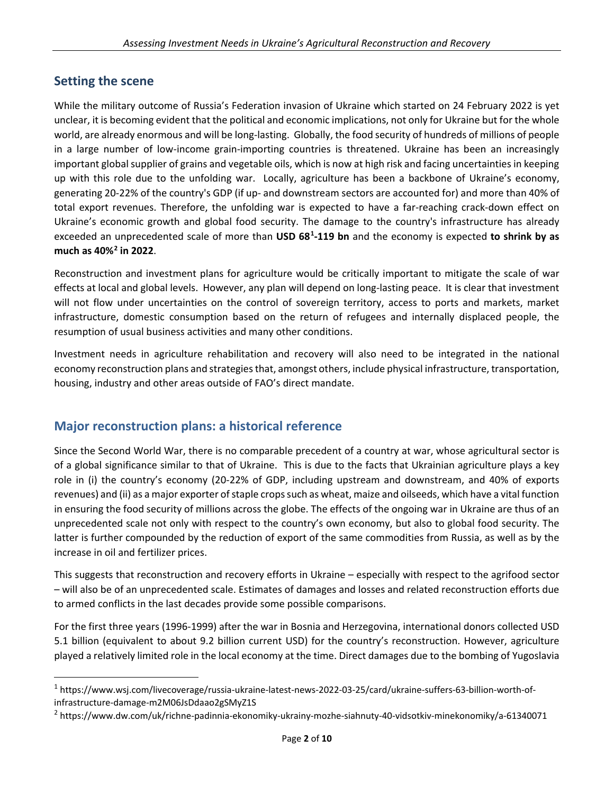## **Setting the scene**

While the military outcome of Russia's Federation invasion of Ukraine which started on 24 February 2022 is yet unclear, it is becoming evident that the political and economic implications, not only for Ukraine but for the whole world, are already enormous and will be long-lasting. Globally, the food security of hundreds of millions of people in a large number of low-income grain-importing countries is threatened. Ukraine has been an increasingly important global supplier of grains and vegetable oils, which is now at high risk and facing uncertainties in keeping up with this role due to the unfolding war. Locally, agriculture has been a backbone of Ukraine's economy, generating 20-22% of the country's GDP (if up- and downstream sectors are accounted for) and more than 40% of total export revenues. Therefore, the unfolding war is expected to have a far-reaching crack-down effect on Ukraine's economic growth and global food security. The damage to the country's infrastructure has already exceeded an unprecedented scale of more than **USD 68[1](#page-1-0) -119 bn** and the economy is expected **to shrink by as much as 40%[2](#page-1-1) in 2022**.

Reconstruction and investment plans for agriculture would be critically important to mitigate the scale of war effects at local and global levels. However, any plan will depend on long-lasting peace. It is clear that investment will not flow under uncertainties on the control of sovereign territory, access to ports and markets, market infrastructure, domestic consumption based on the return of refugees and internally displaced people, the resumption of usual business activities and many other conditions.

Investment needs in agriculture rehabilitation and recovery will also need to be integrated in the national economy reconstruction plans and strategies that, amongst others, include physical infrastructure, transportation, housing, industry and other areas outside of FAO's direct mandate.

## **Major reconstruction plans: a historical reference**

Since the Second World War, there is no comparable precedent of a country at war, whose agricultural sector is of a global significance similar to that of Ukraine. This is due to the facts that Ukrainian agriculture plays a key role in (i) the country's economy (20-22% of GDP, including upstream and downstream, and 40% of exports revenues) and (ii) as a major exporter of staple crops such as wheat, maize and oilseeds, which have a vital function in ensuring the food security of millions across the globe. The effects of the ongoing war in Ukraine are thus of an unprecedented scale not only with respect to the country's own economy, but also to global food security. The latter is further compounded by the reduction of export of the same commodities from Russia, as well as by the increase in oil and fertilizer prices.

This suggests that reconstruction and recovery efforts in Ukraine – especially with respect to the agrifood sector – will also be of an unprecedented scale. Estimates of damages and losses and related reconstruction efforts due to armed conflicts in the last decades provide some possible comparisons.

For the first three years (1996-1999) after the war in Bosnia and Herzegovina, international donors collected USD 5.1 billion (equivalent to about 9.2 billion current USD) for the country's reconstruction. However, agriculture played a relatively limited role in the local economy at the time. Direct damages due to the bombing of Yugoslavia

<span id="page-1-0"></span><sup>1</sup> https://www.wsj.com/livecoverage/russia-ukraine-latest-news-2022-03-25/card/ukraine-suffers-63-billion-worth-ofinfrastructure-damage-m2M06JsDdaao2gSMyZ1S

<span id="page-1-1"></span><sup>2</sup> https://www.dw.com/uk/richne-padinnia-ekonomiky-ukrainy-mozhe-siahnuty-40-vidsotkiv-minekonomiky/a-61340071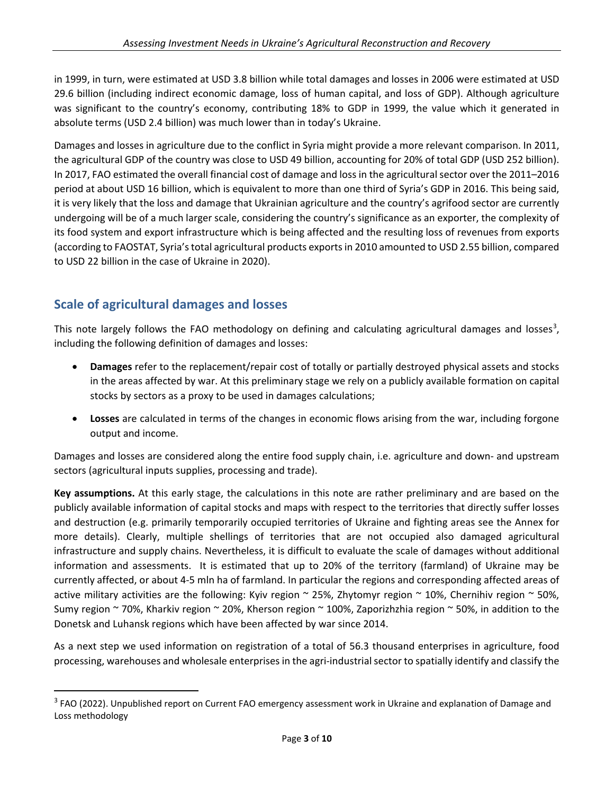in 1999, in turn, were estimated at USD 3.8 billion while total damages and losses in 2006 were estimated at USD 29.6 billion (including indirect economic damage, loss of human capital, and loss of GDP). Although agriculture was significant to the country's economy, contributing 18% to GDP in 1999, the value which it generated in absolute terms (USD 2.4 billion) was much lower than in today's Ukraine.

Damages and losses in agriculture due to the conflict in Syria might provide a more relevant comparison. In 2011, the agricultural GDP of the country was close to USD 49 billion, accounting for 20% of total GDP (USD 252 billion). In 2017, FAO estimated the overall financial cost of damage and loss in the agricultural sector over the 2011–2016 period at about USD 16 billion, which is equivalent to more than one third of Syria's GDP in 2016. This being said, it is very likely that the loss and damage that Ukrainian agriculture and the country's agrifood sector are currently undergoing will be of a much larger scale, considering the country's significance as an exporter, the complexity of its food system and export infrastructure which is being affected and the resulting loss of revenues from exports (according to FAOSTAT, Syria's total agricultural products exports in 2010 amounted to USD 2.55 billion, compared to USD 22 billion in the case of Ukraine in 2020).

# **Scale of agricultural damages and losses**

This note largely follows the FAO methodology on defining and calculating agricultural damages and losses<sup>[3](#page-2-0)</sup>, including the following definition of damages and losses:

- **Damages** refer to the replacement/repair cost of totally or partially destroyed physical assets and stocks in the areas affected by war. At this preliminary stage we rely on a publicly available formation on capital stocks by sectors as a proxy to be used in damages calculations;
- **Losses** are calculated in terms of the changes in economic flows arising from the war, including forgone output and income.

Damages and losses are considered along the entire food supply chain, i.e. agriculture and down- and upstream sectors (agricultural inputs supplies, processing and trade).

**Key assumptions.** At this early stage, the calculations in this note are rather preliminary and are based on the publicly available information of capital stocks and maps with respect to the territories that directly suffer losses and destruction (e.g. primarily temporarily occupied territories of Ukraine and fighting areas see the Annex for more details). Clearly, multiple shellings of territories that are not occupied also damaged agricultural infrastructure and supply chains. Nevertheless, it is difficult to evaluate the scale of damages without additional information and assessments. It is estimated that up to 20% of the territory (farmland) of Ukraine may be currently affected, or about 4-5 mln ha of farmland. In particular the regions and corresponding affected areas of active military activities are the following: Kyiv region  $\sim$  25%, Zhytomyr region  $\sim$  10%, Chernihiv region  $\sim$  50%, Sumy region ~ 70%, Kharkiv region ~ 20%, Kherson region ~ 100%, Zaporizhzhia region ~ 50%, in addition to the Donetsk and Luhansk regions which have been affected by war since 2014.

As a next step we used information on registration of a total of 56.3 thousand enterprises in agriculture, food processing, warehouses and wholesale enterprises in the agri-industrial sector to spatially identify and classify the

<span id="page-2-0"></span><sup>&</sup>lt;sup>3</sup> FAO (2022). Unpublished report on Current FAO emergency assessment work in Ukraine and explanation of Damage and Loss methodology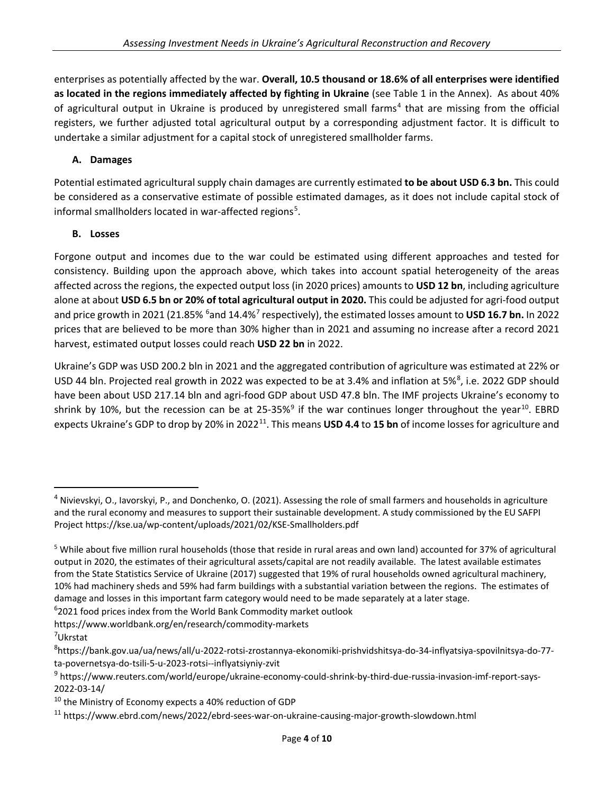enterprises as potentially affected by the war. **Overall, 10.5 thousand or 18.6% of all enterprises were identified as located in the regions immediately affected by fighting in Ukraine** (see Table 1 in the Annex). As about 40% of agricultural output in Ukraine is produced by unregistered small farms<sup>[4](#page-3-0)</sup> that are missing from the official registers, we further adjusted total agricultural output by a corresponding adjustment factor. It is difficult to undertake a similar adjustment for a capital stock of unregistered smallholder farms.

#### **A. Damages**

Potential estimated agricultural supply chain damages are currently estimated **to be about USD 6.3 bn.** This could be considered as a conservative estimate of possible estimated damages, as it does not include capital stock of informal smallholders located in war-affected regions<sup>[5](#page-3-1)</sup>.

#### **B. Losses**

Forgone output and incomes due to the war could be estimated using different approaches and tested for consistency. Building upon the approach above, which takes into account spatial heterogeneity of the areas affected across the regions, the expected output loss (in 2020 prices) amounts to **USD 12 bn**, including agriculture alone at about **USD 6.5 bn or 20% of total agricultural output in 2020.** This could be adjusted for agri-food output and price growth in 2021 (21.85% <sup>6</sup>and 14.4%<sup>[7](#page-3-3)</sup> respectively), the estimated losses amount to **USD 16.7 bn.** In 2022 prices that are believed to be more than 30% higher than in 2021 and assuming no increase after a record 2021 harvest, estimated output losses could reach **USD 22 bn** in 2022.

Ukraine's GDP was USD 200.2 bln in 2021 and the aggregated contribution of agriculture was estimated at 22% or USD 44 bln. Projected real growth in 2022 was expected to be at 3.4% and inflation at 5%<sup>[8](#page-3-4)</sup>, i.e. 2022 GDP should have been about USD 217.14 bln and agri-food GDP about USD 47.8 bln. The IMF projects Ukraine's economy to shrink by 10%, but the recession can be at 25-35%<sup>[9](#page-3-5)</sup> if the war continues longer throughout the year<sup>[10](#page-3-6)</sup>. EBRD expects Ukraine's GDP to drop by 20% in 2022[11.](#page-3-7) This means **USD 4.4** to **15 bn** of income losses for agriculture and

<span id="page-3-2"></span><sup>6</sup>2021 food prices index from the World Bank Commodity market outlook

https://www.worldbank.org/en/research/commodity-markets 7

<span id="page-3-0"></span><sup>&</sup>lt;sup>4</sup> Nivievskyi, O., Iavorskyi, P., and Donchenko, O. (2021). Assessing the role of small farmers and households in agriculture and the rural economy and measures to support their sustainable development. A study commissioned by the EU SAFPI Project https://kse.ua/wp-content/uploads/2021/02/KSE-Smallholders.pdf

<span id="page-3-1"></span><sup>5</sup> While about five million rural households (those that reside in rural areas and own land) accounted for 37% of agricultural output in 2020, the estimates of their agricultural assets/capital are not readily available. The latest available estimates from the State Statistics Service of Ukraine (2017) suggested that 19% of rural households owned agricultural machinery, 10% had machinery sheds and 59% had farm buildings with a substantial variation between the regions. The estimates of damage and losses in this important farm category would need to be made separately at a later stage.

<span id="page-3-3"></span><sup>&</sup>lt;sup>7</sup>Ukrstat

<span id="page-3-4"></span><sup>8</sup> https://bank.gov.ua/ua/news/all/u-2022-rotsi-zrostannya-ekonomiki-prishvidshitsya-do-34-inflyatsiya-spovilnitsya-do-77 ta-povernetsya-do-tsili-5-u-2023-rotsi--inflyatsiyniy-zvit

<span id="page-3-5"></span><sup>9</sup> https://www.reuters.com/world/europe/ukraine-economy-could-shrink-by-third-due-russia-invasion-imf-report-says-2022-03-14/

<span id="page-3-6"></span><sup>&</sup>lt;sup>10</sup> the Ministry of Economy expects a 40% reduction of GDP

<span id="page-3-7"></span><sup>11</sup> https://www.ebrd.com/news/2022/ebrd-sees-war-on-ukraine-causing-major-growth-slowdown.html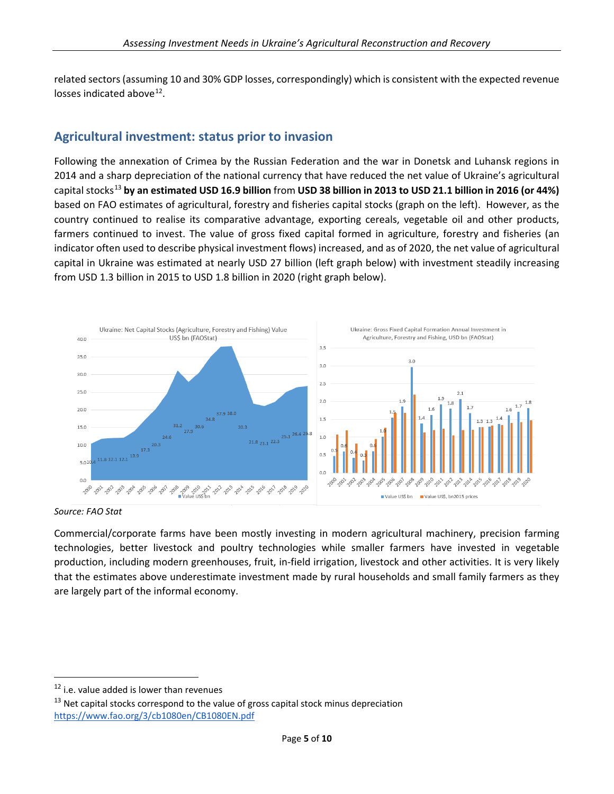related sectors (assuming 10 and 30% GDP losses, correspondingly) which is consistent with the expected revenue losses indicated above[12](#page-4-0).

## **Agricultural investment: status prior to invasion**

Following the annexation of Crimea by the Russian Federation and the war in Donetsk and Luhansk regions in 2014 and a sharp depreciation of the national currency that have reduced the net value of Ukraine's agricultural capital stocks[13](#page-4-1) **by an estimated USD 16.9 billion** from **USD 38 billion in 2013 to USD 21.1 billion in 2016 (or 44%)**  based on FAO estimates of agricultural, forestry and fisheries capital stocks (graph on the left). However, as the country continued to realise its comparative advantage, exporting cereals, vegetable oil and other products, farmers continued to invest. The value of gross fixed capital formed in agriculture, forestry and fisheries (an indicator often used to describe physical investment flows) increased, and as of 2020, the net value of agricultural capital in Ukraine was estimated at nearly USD 27 billion (left graph below) with investment steadily increasing from USD 1.3 billion in 2015 to USD 1.8 billion in 2020 (right graph below).



*Source: FAO Stat*

Commercial/corporate farms have been mostly investing in modern agricultural machinery, precision farming technologies, better livestock and poultry technologies while smaller farmers have invested in vegetable production, including modern greenhouses, fruit, in-field irrigation, livestock and other activities. It is very likely that the estimates above underestimate investment made by rural households and small family farmers as they are largely part of the informal economy.

<span id="page-4-0"></span> $12$  i.e. value added is lower than revenues

<span id="page-4-1"></span> $13$  Net capital stocks correspond to the value of gross capital stock minus depreciation <https://www.fao.org/3/cb1080en/CB1080EN.pdf>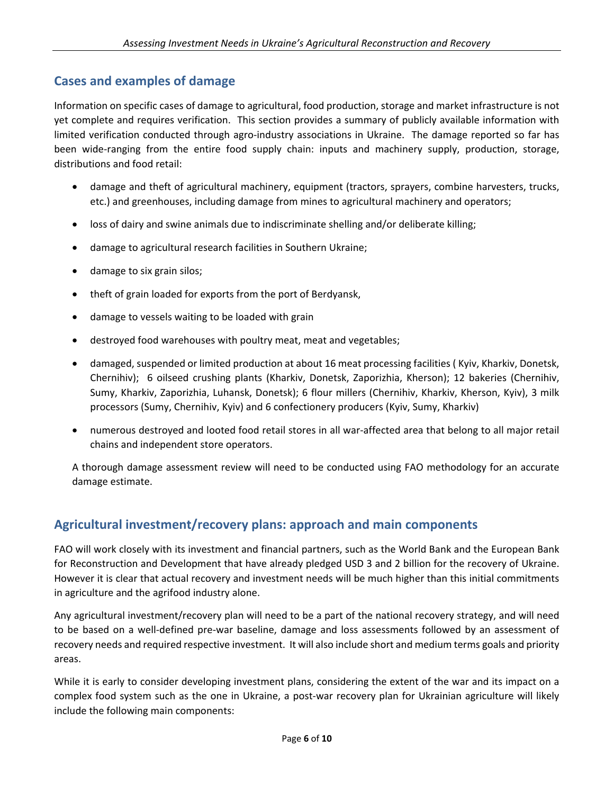## **Cases and examples of damage**

Information on specific cases of damage to agricultural, food production, storage and market infrastructure is not yet complete and requires verification. This section provides a summary of publicly available information with limited verification conducted through agro-industry associations in Ukraine. The damage reported so far has been wide-ranging from the entire food supply chain: inputs and machinery supply, production, storage, distributions and food retail:

- damage and theft of agricultural machinery, equipment (tractors, sprayers, combine harvesters, trucks, etc.) and greenhouses, including damage from mines to agricultural machinery and operators;
- loss of dairy and swine animals due to indiscriminate shelling and/or deliberate killing;
- damage to agricultural research facilities in Southern Ukraine;
- damage to six grain silos;
- theft of grain loaded for exports from the port of Berdyansk,
- damage to vessels waiting to be loaded with grain
- destroyed food warehouses with poultry meat, meat and vegetables;
- damaged, suspended or limited production at about 16 meat processing facilities ( Kyiv, Kharkiv, Donetsk, Chernihiv); 6 oilseed crushing plants (Kharkiv, Donetsk, Zaporizhia, Kherson); 12 bakeries (Chernihiv, Sumy, Kharkiv, Zaporizhia, Luhansk, Donetsk); 6 flour millers (Chernihiv, Kharkiv, Kherson, Kyiv), 3 milk processors (Sumy, Chernihiv, Kyiv) and 6 confectionery producers (Kyiv, Sumy, Kharkiv)
- numerous destroyed and looted food retail stores in all war-affected area that belong to all major retail chains and independent store operators.

A thorough damage assessment review will need to be conducted using FAO methodology for an accurate damage estimate.

## **Agricultural investment/recovery plans: approach and main components**

FAO will work closely with its investment and financial partners, such as the World Bank and the European Bank for Reconstruction and Development that have already pledged USD 3 and 2 billion for the recovery of Ukraine. However it is clear that actual recovery and investment needs will be much higher than this initial commitments in agriculture and the agrifood industry alone.

Any agricultural investment/recovery plan will need to be a part of the national recovery strategy, and will need to be based on a well-defined pre-war baseline, damage and loss assessments followed by an assessment of recovery needs and required respective investment. It will also include short and medium terms goals and priority areas.

While it is early to consider developing investment plans, considering the extent of the war and its impact on a complex food system such as the one in Ukraine, a post-war recovery plan for Ukrainian agriculture will likely include the following main components: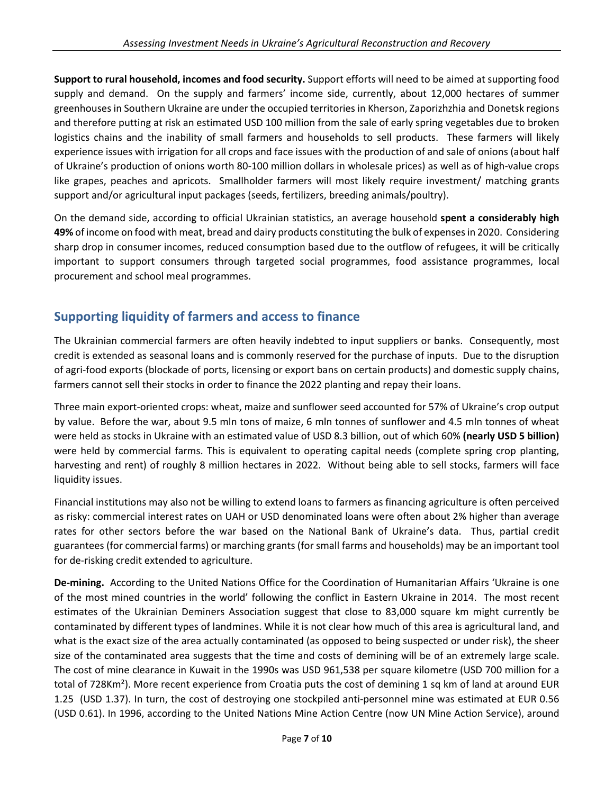**Support to rural household, incomes and food security.** Support efforts will need to be aimed at supporting food supply and demand. On the supply and farmers' income side, currently, about 12,000 hectares of summer greenhouses in Southern Ukraine are under the occupied territories in Kherson, Zaporizhzhia and Donetsk regions and therefore putting at risk an estimated USD 100 million from the sale of early spring vegetables due to broken logistics chains and the inability of small farmers and households to sell products. These farmers will likely experience issues with irrigation for all crops and face issues with the production of and sale of onions (about half of Ukraine's production of onions worth 80-100 million dollars in wholesale prices) as well as of high-value crops like grapes, peaches and apricots. Smallholder farmers will most likely require investment/ matching grants support and/or agricultural input packages (seeds, fertilizers, breeding animals/poultry).

On the demand side, according to official Ukrainian statistics, an average household **spent a considerably high 49%** of income on food with meat, bread and dairy products constituting the bulk of expenses in 2020. Considering sharp drop in consumer incomes, reduced consumption based due to the outflow of refugees, it will be critically important to support consumers through targeted social programmes, food assistance programmes, local procurement and school meal programmes.

# **Supporting liquidity of farmers and access to finance**

The Ukrainian commercial farmers are often heavily indebted to input suppliers or banks. Consequently, most credit is extended as seasonal loans and is commonly reserved for the purchase of inputs. Due to the disruption of agri-food exports (blockade of ports, licensing or export bans on certain products) and domestic supply chains, farmers cannot sell their stocks in order to finance the 2022 planting and repay their loans.

Three main export-oriented crops: wheat, maize and sunflower seed accounted for 57% of Ukraine's crop output by value. Before the war, about 9.5 mln tons of maize, 6 mln tonnes of sunflower and 4.5 mln tonnes of wheat were held as stocks in Ukraine with an estimated value of USD 8.3 billion, out of which 60% **(nearly USD 5 billion)** were held by commercial farms. This is equivalent to operating capital needs (complete spring crop planting, harvesting and rent) of roughly 8 million hectares in 2022. Without being able to sell stocks, farmers will face liquidity issues.

Financial institutions may also not be willing to extend loans to farmers as financing agriculture is often perceived as risky: commercial interest rates on UAH or USD denominated loans were often about 2% higher than average rates for other sectors before the war based on the National Bank of Ukraine's data. Thus, partial credit guarantees (for commercial farms) or marching grants (for small farms and households) may be an important tool for de-risking credit extended to agriculture.

**De-mining.** According to the United Nations Office for the Coordination of Humanitarian Affairs 'Ukraine is one of the most mined countries in the world' following the conflict in Eastern Ukraine in 2014. The most recent estimates of the Ukrainian Deminers Association suggest that close to 83,000 square km might currently be contaminated by different types of landmines. While it is not clear how much of this area is agricultural land, and what is the exact size of the area actually contaminated (as opposed to being suspected or under risk), the sheer size of the contaminated area suggests that the time and costs of demining will be of an extremely large scale. The cost of mine clearance in Kuwait in the 1990s was USD 961,538 per square kilometre (USD 700 million for a total of 728Km²). More recent experience from Croatia puts the cost of demining 1 sq km of land at around EUR 1.25 (USD 1.37). In turn, the cost of destroying one stockpiled anti-personnel mine was estimated at EUR 0.56 (USD 0.61). In 1996, according to the United Nations Mine Action Centre (now UN Mine Action Service), around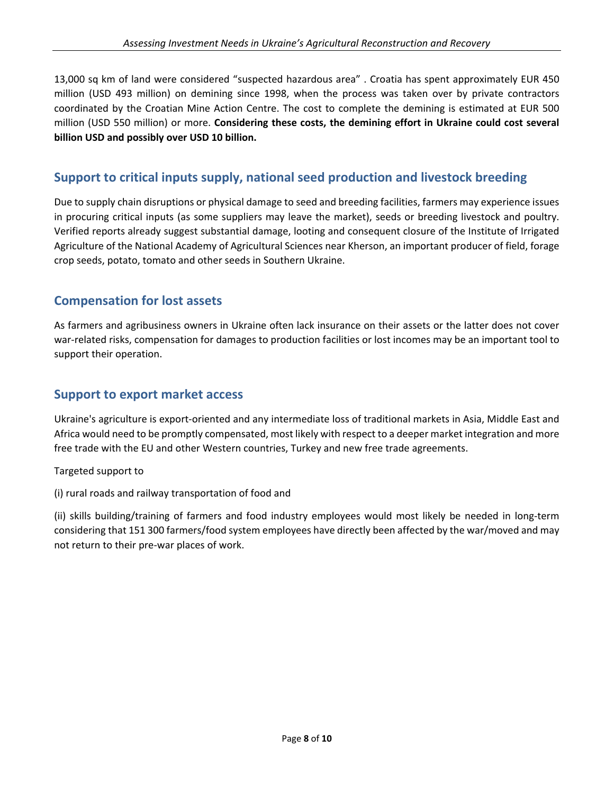13,000 sq km of land were considered "suspected hazardous area" . Croatia has spent approximately EUR 450 million (USD 493 million) on demining since 1998, when the process was taken over by private contractors coordinated by the Croatian Mine Action Centre. The cost to complete the demining is estimated at EUR 500 million (USD 550 million) or more. **Considering these costs, the demining effort in Ukraine could cost several billion USD and possibly over USD 10 billion.** 

# **Support to critical inputs supply, national seed production and livestock breeding**

Due to supply chain disruptions or physical damage to seed and breeding facilities, farmers may experience issues in procuring critical inputs (as some suppliers may leave the market), seeds or breeding livestock and poultry. Verified reports already suggest substantial damage, looting and consequent closure of the Institute of Irrigated Agriculture of the National Academy of Agricultural Sciences near Kherson, an important producer of field, forage crop seeds, potato, tomato and other seeds in Southern Ukraine.

# **Compensation for lost assets**

As farmers and agribusiness owners in Ukraine often lack insurance on their assets or the latter does not cover war-related risks, compensation for damages to production facilities or lost incomes may be an important tool to support their operation.

#### **Support to export market access**

Ukraine's agriculture is export-oriented and any intermediate loss of traditional markets in Asia, Middle East and Africa would need to be promptly compensated, most likely with respect to a deeper market integration and more free trade with the EU and other Western countries, Turkey and new free trade agreements.

#### Targeted support to

(i) rural roads and railway transportation of food and

(ii) skills building/training of farmers and food industry employees would most likely be needed in long-term considering that 151 300 farmers/food system employees have directly been affected by the war/moved and may not return to their pre-war places of work.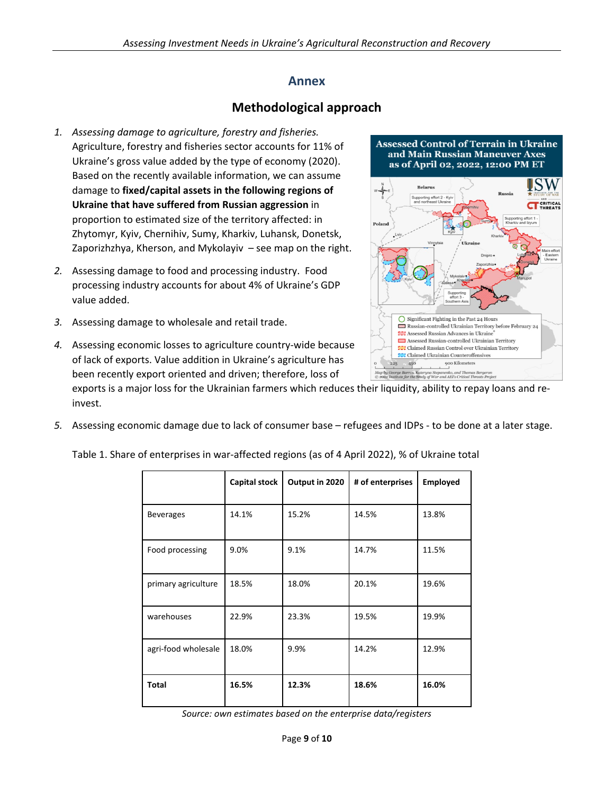#### **Annex**

## **Methodological approach**

- *1. Assessing damage to agriculture, forestry and fisheries.* Agriculture, forestry and fisheries sector accounts for 11% of Ukraine's gross value added by the type of economy (2020). Based on the recently available information, we can assume damage to **fixed/capital assets in the following regions of Ukraine that have suffered from Russian aggression** in proportion to estimated size of the territory affected: in Zhytomyr, Kyiv, Chernihiv, Sumy, Kharkiv, Luhansk, Donetsk, Zaporizhzhya, Kherson, and Mykolayiv – see map on the right.
- *2.* Assessing damage to food and processing industry. Food processing industry accounts for about 4% of Ukraine's GDP value added.
- *3.* Assessing damage to wholesale and retail trade.
- *4.* Assessing economic losses to agriculture country-wide because of lack of exports. Value addition in Ukraine's agriculture has been recently export oriented and driven; therefore, loss of

exports is a major loss for the Ukrainian farmers which reduces their liquidity, ability to repay loans and reinvest.

*5.* Assessing economic damage due to lack of consumer base – refugees and IDPs - to be done at a later stage.

|                     | Capital stock | Output in 2020 | # of enterprises | <b>Employed</b> |
|---------------------|---------------|----------------|------------------|-----------------|
| <b>Beverages</b>    | 14.1%         | 15.2%          | 14.5%            | 13.8%           |
| Food processing     | 9.0%          | 9.1%           | 14.7%            | 11.5%           |
| primary agriculture | 18.5%         | 18.0%          | 20.1%            | 19.6%           |
| warehouses          | 22.9%         | 23.3%          | 19.5%            | 19.9%           |
| agri-food wholesale | 18.0%         | 9.9%           | 14.2%            | 12.9%           |
| Total               | 16.5%         | 12.3%          | 18.6%            | 16.0%           |

Table 1. Share of enterprises in war-affected regions (as of 4 April 2022), % of Ukraine total

*Source: own estimates based on the enterprise data/registers*